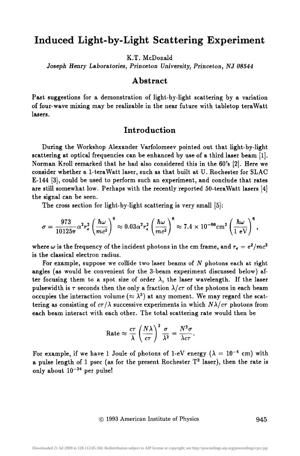# **Induced Light-by-Light Scattering Experiment**

K.T. McDonald

*Joseph Henry Laboratories, Princeton University, Princeton, NJ 08544* 

### **Abstract**

Past suggestions for a demonstration of light-by-light scattering by a variation of four-wave mixing may be realizable in the near future with tabletop teraWatt lasers.

### **Introduction**

During the Workshop Alexander Varfolomeev pointed out that light-by-light scattering at optical frequencies can be enhanced by use of a third laser beam [1]. Norman Kroll remarked that he had also considered this in the 60's [2]. Here we consider whether a 1-teraWatt laser, such as that built at U. Rochester for SLAC E-144 [3], could be used to perform such an experiment, and conclude that rates are still somewhat low. Perhaps with the recently reported 50-teraWatt lasers [4] the signal can be seen.

The cross section for light-by-light scattering is very small [5]:

$$
\sigma = \frac{973}{10125\pi} \alpha^2 r_e^2 \left(\frac{\hbar \omega}{mc^2}\right)^6 \approx 0.03 \alpha^2 r_e^2 \left(\frac{\hbar \omega}{mc^2}\right)^6 \approx 7.4 \times 10^{-66} \text{cm}^2 \left(\frac{\hbar \omega}{1 \text{ eV}}\right)^6,
$$

where  $\omega$  is the frequency of the incident photons in the cm frame, and  $r_e = e^2/mc^2$ is the classical electron radius.

For example, suppose we collide two laser beams of  $N$  photons each at right angles (as would be convenient for the 3-beam experiment discussed below) after focusing them to a spot size of order  $\lambda$ , the laser wavelength. If the laser pulsewidth is  $\tau$  seconds then the only a fraction  $\lambda/\tau\tau$  of the photons in each beam occupies the interaction volume ( $\approx \lambda^3$ ) at any moment. We may regard the scattering as consisting of  $c\tau/\lambda$  successive experiments in which  $N\lambda/c\tau$  photons from each beam interact with each other. The total scattering rate would then be

$$
\text{Rate} \approx \frac{c\tau}{\lambda} \left(\frac{N\lambda}{c\tau}\right)^2 \frac{\sigma}{\lambda^2} = \frac{N^2\sigma}{\lambda c\tau}.
$$

For example, if we have 1 Joule of photons of 1-eV energy ( $\lambda = 10^{-4}$  cm) with a pulse length of 1 psec (as for the present Rochester  $T<sup>3</sup>$  laser), then the rate is only about  $10^{-24}$  per pulse!

9 1993 American Institute of Physics 945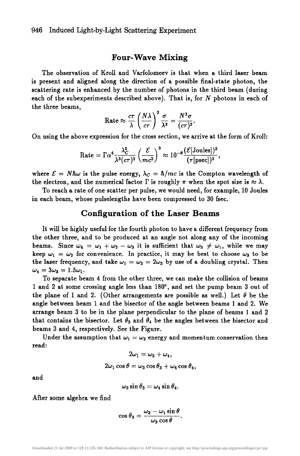#### **Four-Wave Mixing**

The observation of Kroll and Varfolomeev is that when a third laser beam is present and aligned along the direction of a possible final-state photon, the scattering rate is enhanced by the number of photons in the third beam (during each of the subexperiments described above). That is, for N photons in each of the three beams,

$$
\text{Rate} \approx \frac{c\tau}{\lambda} \left(\frac{N\lambda}{c\tau}\right)^3 \frac{\sigma}{\lambda^2} = \frac{N^3 \sigma}{(c\tau)^2}.
$$

On using the above expression for the cross section, we arrive at the form of Kroll:

$$
\text{Rate} = \Gamma \alpha^4 \frac{\lambda_C^5}{\lambda^3 (c\tau)^2} \left(\frac{\mathcal{E}}{mc^2}\right)^3 \approx 10^{-6} \frac{(\mathcal{E}[\text{Joules}])^3}{(\tau [\text{psec}])^2},
$$

where  $\mathcal{E} = N\hbar\omega$  is the pulse energy,  $\lambda_c = \hbar/mc$  is the Compton wavelength of the electron, and the numerical factor  $\Gamma$  is roughly  $\pi$  when the spot size is  $\approx \lambda$ .

To reach a rate of one scatter per pulse, we would need, for example, 10 Joules in each beam, whose pulselengths have been compressed to 30 fsec.

## Configuration of the Laser Beams

It will be highly useful for the fourth photon to have a different frequency from the other three, and to be produced at an angle not along any of the incoming beams. Since  $\omega_4 = \omega_1 + \omega_2 - \omega_3$  it is sufficient that  $\omega_3 \neq \omega_1$ , while we may keep  $\omega_1 = \omega_2$  for convenience. In practice, it may be best to choose  $\omega_3$  to be the laser frequency, and take  $\omega_1 = \omega_2 = 2\omega_3$  by use of a doubling crystal. Then  $\omega_4 = 3\omega_3 = 1.5\omega_1.$ 

To separate beam 4 from the other three, we can make the collision of beams 1 and 2 at some crossing angle less than  $180^\circ$ , and set the pump beam 3 out of the plane of 1 and 2. (Other arrangements are possible as well.) Let  $\theta$  be the angle between beam 1 and the bisector of the angle between beams 1 and 2. We arrange beam 3 to be in the plane perpendicular to the plane of beams 1 and 2 that contains the bisector. Let  $\theta_3$  and  $\theta_4$  be the angles between the bisector and beams 3 and 4, respectively. See the Figure.

Under the assumption that  $\omega_1 = \omega_2$  energy and momentum conservation then read:

$$
2\omega_1=\omega_3+\omega_4,
$$

$$
2\omega_1\cos\theta=\omega_3\cos\theta_3+\omega_4\cos\theta_4,
$$

and

$$
\omega_3\sin\theta_3=\omega_4\sin\theta_4.
$$

**After some algebra we find** 

$$
\cos\theta_3=\frac{\omega_3-\omega_1\sin\theta}{\omega_3\cos\theta}.
$$

Downloaded 21 Jul 2009 to 128.112.85.160. Redistribution subject to AIP license or copyright; see http://proceedings.aip.org/proceedings/cpcr.jsp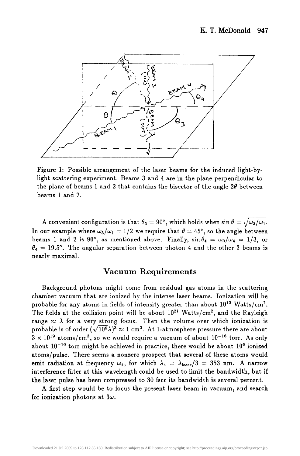

Figure 1: Possible arrangement of the laser beams for the induced light-bylight scattering experiment. Beams 3 and 4 are in the plane perpendicular to the plane of beams 1 and 2 that contains the bisector of the angle  $2\theta$  between beams 1 and 2.

A convenient configuration is that  $\theta_3 = 90^\circ$ , which holds when  $\sin \theta = \sqrt{\omega_3/\omega_1}$ . In our example where  $\omega_3/\omega_1 = 1/2$  we require that  $\theta = 45^{\circ}$ , so the angle between beams 1 and 2 is 90°, as mentioned above. Finally,  $\sin \theta_4 = \omega_3/\omega_4 = 1/3$ , or  $\theta_4 = 19.5^{\circ}$ . The angular separation between photon 4 and the other 3 beams is nearly maximal.

### Vacuum Requirements

Background photons might come from residual gas atoms in the scattering chamber vacuum that are ionized by the intense laser beams. Ionization will be probable for any atoms in fields of intensity greater than about  $10^{13}$  Watts/cm<sup>2</sup>. The fields at the collision point will be about  $10^{21}$  Watts/cm<sup>2</sup>, and the Rayleigh range  $\approx \lambda$  for a very strong focus. Then the volume over which ionization is probable is of order  $(\sqrt{10^8}\lambda)^3 \approx 1$  cm<sup>3</sup>. At 1-atmosphere pressure there are about  $3 \times 10^{19}$  atoms/cm<sup>3</sup>, so we would require a vacuum of about  $10^{-16}$  torr. As only about  $10^{-10}$  torr might be achieved in practice, there would be about  $10^6$  ionized atoms/pulse. There seems a nonzero prospect that several of these atoms would emit radiation at frequency  $\omega_4$ , for which  $\lambda_4 = \lambda_{\text{laser}}/3 = 353 \text{ nm}$ . A narrow interference filter at this wavelength could be used to limit the bandwidth, but if the laser pulse has been compressed to 30 fsec its bandwidth is several percent.

A first step would be to focus the present laser beam in vacuum, and search for ionization photons at  $3\omega$ .